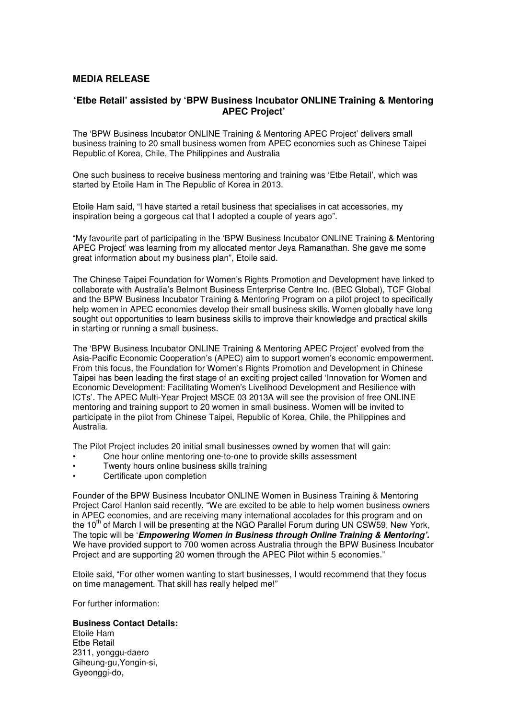## **MEDIA RELEASE**

## **'Etbe Retail' assisted by 'BPW Business Incubator ONLINE Training & Mentoring APEC Project'**

The 'BPW Business Incubator ONLINE Training & Mentoring APEC Project' delivers small business training to 20 small business women from APEC economies such as Chinese Taipei Republic of Korea, Chile, The Philippines and Australia

One such business to receive business mentoring and training was 'Etbe Retail', which was started by Etoile Ham in The Republic of Korea in 2013.

Etoile Ham said, "I have started a retail business that specialises in cat accessories, my inspiration being a gorgeous cat that I adopted a couple of years ago".

"My favourite part of participating in the 'BPW Business Incubator ONLINE Training & Mentoring APEC Project' was learning from my allocated mentor Jeya Ramanathan. She gave me some great information about my business plan", Etoile said.

The Chinese Taipei Foundation for Women's Rights Promotion and Development have linked to collaborate with Australia's Belmont Business Enterprise Centre Inc. (BEC Global), TCF Global and the BPW Business Incubator Training & Mentoring Program on a pilot project to specifically help women in APEC economies develop their small business skills. Women globally have long sought out opportunities to learn business skills to improve their knowledge and practical skills in starting or running a small business.

The 'BPW Business Incubator ONLINE Training & Mentoring APEC Project' evolved from the Asia-Pacific Economic Cooperation's (APEC) aim to support women's economic empowerment. From this focus, the Foundation for Women's Rights Promotion and Development in Chinese Taipei has been leading the first stage of an exciting project called 'Innovation for Women and Economic Development: Facilitating Women's Livelihood Development and Resilience with ICTs'. The APEC Multi-Year Project MSCE 03 2013A will see the provision of free ONLINE mentoring and training support to 20 women in small business. Women will be invited to participate in the pilot from Chinese Taipei, Republic of Korea, Chile, the Philippines and Australia.

The Pilot Project includes 20 initial small businesses owned by women that will gain:

- One hour online mentoring one-to-one to provide skills assessment
- Twenty hours online business skills training
- Certificate upon completion

Founder of the BPW Business Incubator ONLINE Women in Business Training & Mentoring Project Carol Hanlon said recently, "We are excited to be able to help women business owners in APEC economies, and are receiving many international accolades for this program and on the 10 $^{\text{th}}$  of March I will be presenting at the NGO Parallel Forum during UN CSW59, New York, The topic will be '**Empowering Women in Business through Online Training & Mentoring'.**  We have provided support to 700 women across Australia through the BPW Business Incubator Project and are supporting 20 women through the APEC Pilot within 5 economies."

Etoile said, "For other women wanting to start businesses, I would recommend that they focus on time management. That skill has really helped me!"

For further information:

## **Business Contact Details:**

Etoile Ham Etbe Retail 2311, yonggu-daero Giheung-gu,Yongin-si, Gyeonggi-do,